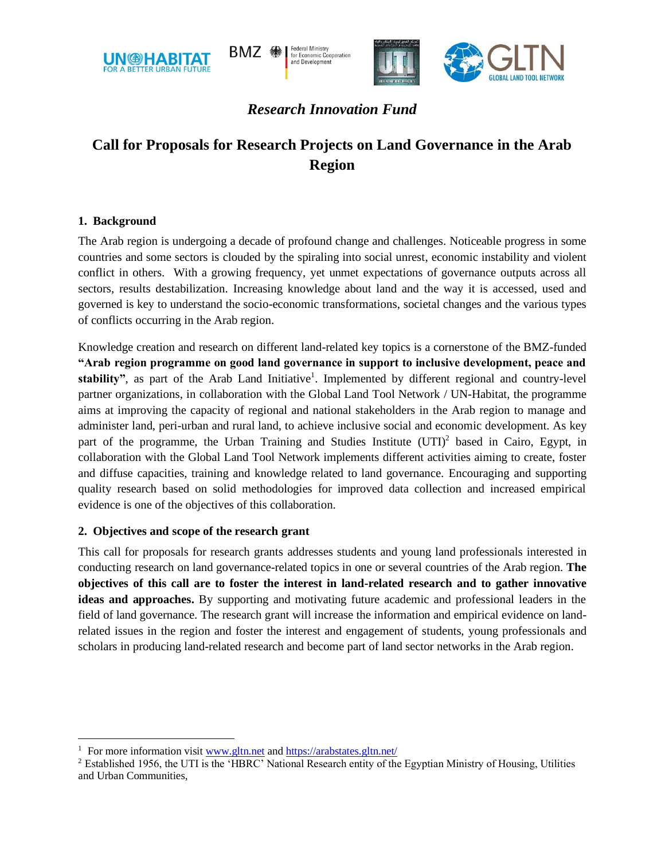

**Federal Ministry<br>for Economic Cooperation** RM7 AA and Development



# *Research Innovation Fund*

# **Call for Proposals for Research Projects on Land Governance in the Arab Region**

# **1. Background**

The Arab region is undergoing a decade of profound change and challenges. Noticeable progress in some countries and some sectors is clouded by the spiraling into social unrest, economic instability and violent conflict in others. With a growing frequency, yet unmet expectations of governance outputs across all sectors, results destabilization. Increasing knowledge about land and the way it is accessed, used and governed is key to understand the socio-economic transformations, societal changes and the various types of conflicts occurring in the Arab region.

Knowledge creation and research on different land-related key topics is a cornerstone of the BMZ-funded **"Arab region programme on good land governance in support to inclusive development, peace and**  stability", as part of the Arab Land Initiative<sup>1</sup>. Implemented by different regional and country-level partner organizations, in collaboration with the Global Land Tool Network / UN-Habitat, the programme aims at improving the capacity of regional and national stakeholders in the Arab region to manage and administer land, peri-urban and rural land, to achieve inclusive social and economic development. As key part of the programme, the Urban Training and Studies Institute (UTI)<sup>2</sup> based in Cairo, Egypt, in collaboration with the Global Land Tool Network implements different activities aiming to create, foster and diffuse capacities, training and knowledge related to land governance. Encouraging and supporting quality research based on solid methodologies for improved data collection and increased empirical evidence is one of the objectives of this collaboration.

# **2. Objectives and scope of the research grant**

This call for proposals for research grants addresses students and young land professionals interested in conducting research on land governance-related topics in one or several countries of the Arab region. **The objectives of this call are to foster the interest in land-related research and to gather innovative ideas and approaches.** By supporting and motivating future academic and professional leaders in the field of land governance. The research grant will increase the information and empirical evidence on landrelated issues in the region and foster the interest and engagement of students, young professionals and scholars in producing land-related research and become part of land sector networks in the Arab region.

<sup>&</sup>lt;sup>1</sup> For more information visit [www.gltn.net](http://www.gltn.net/) and<https://arabstates.gltn.net/>

<sup>&</sup>lt;sup>2</sup> Established 1956, the UTI is the 'HBRC' National Research entity of the Egyptian Ministry of Housing, Utilities and Urban Communities,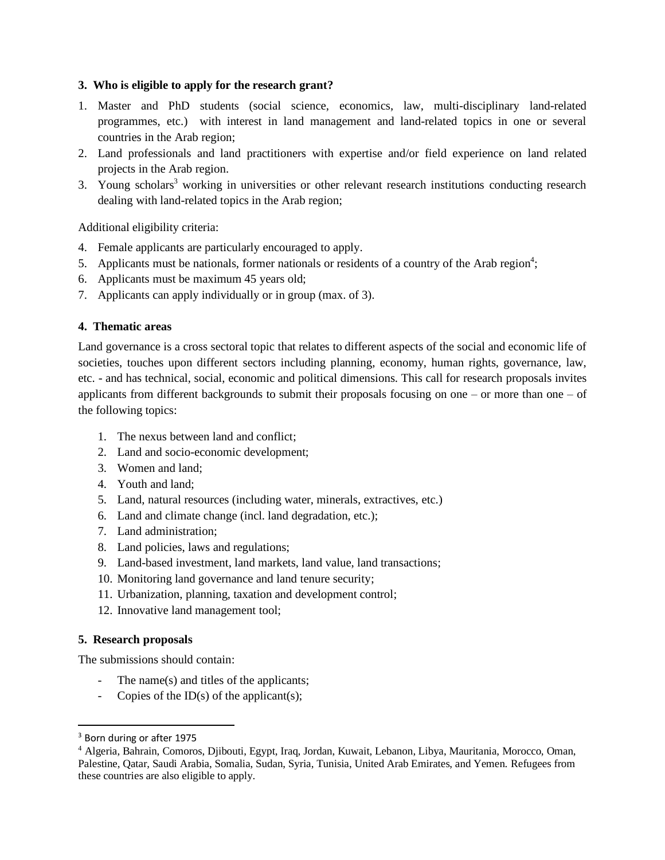#### **3. Who is eligible to apply for the research grant?**

- 1. Master and PhD students (social science, economics, law, multi-disciplinary land-related programmes, etc.) with interest in land management and land-related topics in one or several countries in the Arab region;
- 2. Land professionals and land practitioners with expertise and/or field experience on land related projects in the Arab region.
- 3. Young scholars<sup>3</sup> working in universities or other relevant research institutions conducting research dealing with land-related topics in the Arab region;

Additional eligibility criteria:

- 4. Female applicants are particularly encouraged to apply.
- 5. Applicants must be nationals, former nationals or residents of a country of the Arab region<sup>4</sup>;
- 6. Applicants must be maximum 45 years old;
- 7. Applicants can apply individually or in group (max. of 3).

## **4. Thematic areas**

Land governance is a cross sectoral topic that relates to different aspects of the social and economic life of societies, touches upon different sectors including planning, economy, human rights, governance, law, etc. - and has technical, social, economic and political dimensions. This call for research proposals invites applicants from different backgrounds to submit their proposals focusing on one – or more than one – of the following topics:

- 1. The nexus between land and conflict;
- 2. Land and socio-economic development;
- 3. Women and land;
- 4. Youth and land;
- 5. Land, natural resources (including water, minerals, extractives, etc.)
- 6. Land and climate change (incl. land degradation, etc.);
- 7. Land administration;
- 8. Land policies, laws and regulations;
- 9. Land-based investment, land markets, land value, land transactions;
- 10. Monitoring land governance and land tenure security;
- 11. Urbanization, planning, taxation and development control;
- 12. Innovative land management tool;

#### **5. Research proposals**

The submissions should contain:

- The name(s) and titles of the applicants;
- Copies of the ID(s) of the applicant(s);

<sup>3</sup> Born during or after 1975

<sup>4</sup> Algeria, Bahrain, Comoros, Djibouti, Egypt, Iraq, Jordan, Kuwait, Lebanon, Libya, Mauritania, Morocco, Oman, Palestine, Qatar, Saudi Arabia, Somalia, Sudan, Syria, Tunisia, United Arab Emirates, and Yemen. Refugees from these countries are also eligible to apply.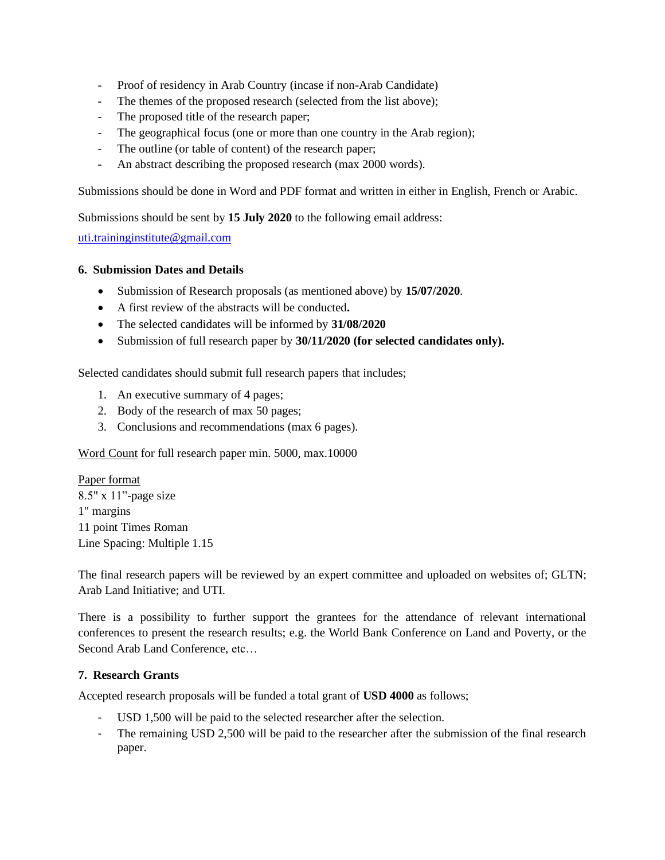- Proof of residency in Arab Country (incase if non-Arab Candidate)
- The themes of the proposed research (selected from the list above);
- The proposed title of the research paper;
- The geographical focus (one or more than one country in the Arab region);
- The outline (or table of content) of the research paper;
- An abstract describing the proposed research (max 2000 words).

Submissions should be done in Word and PDF format and written in either in English, French or Arabic.

Submissions should be sent by **15 July 2020** to the following email address:

[uti.traininginstitute@gmail.com](mailto:uti.traininginstitute@gmail.com)

#### **6. Submission Dates and Details**

- Submission of Research proposals (as mentioned above) by **15/07/2020**.
- A first review of the abstracts will be conducted**.**
- The selected candidates will be informed by **31/08/2020**
- Submission of full research paper by **30/11/2020 (for selected candidates only).**

Selected candidates should submit full research papers that includes;

- 1. An executive summary of 4 pages;
- 2. Body of the research of max 50 pages;
- 3. Conclusions and recommendations (max 6 pages).

Word Count for full research paper min. 5000, max.10000

Paper format 8.5" x 11"-page size 1" margins 11 point Times Roman Line Spacing: Multiple 1.15

The final research papers will be reviewed by an expert committee and uploaded on websites of; GLTN; Arab Land Initiative; and UTI.

There is a possibility to further support the grantees for the attendance of relevant international conferences to present the research results; e.g. the World Bank Conference on Land and Poverty, or the Second Arab Land Conference, etc…

#### **7. Research Grants**

Accepted research proposals will be funded a total grant of **USD 4000** as follows;

- USD 1,500 will be paid to the selected researcher after the selection.
- The remaining USD 2,500 will be paid to the researcher after the submission of the final research paper.